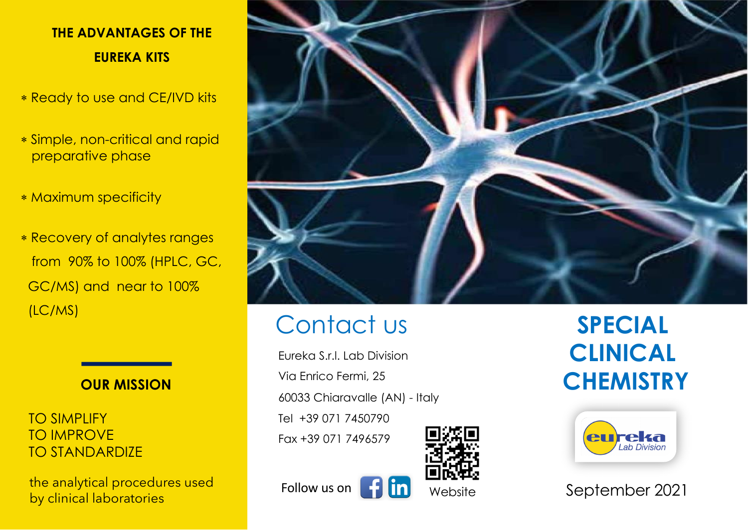# **THE ADVANTAGES OF THE EUREKA KITS**

- \* Ready to use and CE/IVD kits
- \* Simple, non-critical and rapid preparative phase
- \* Maximum specificity
- \* Recovery of analytes ranges from 90% to 100% (HPLC, GC, GC/MS) and near to 100% (LC/MS)



TO SIMPLIFY TO IMPROVE TO STANDARDIZE

the analytical procedures used by clinical laboratories



# Contact us

Eureka S.r.l. Lab Division Via Enrico Fermi, 25 60033 Chiaravalle (AN) - Italy Tel +39 071 7450790 Fax +39 071 7496579



**SPECIAL CLINICAL CHEMISTRY**



September 2021

Follow us on  $\begin{bmatrix} 1 \\ 1 \end{bmatrix}$   $\begin{bmatrix} 1 \\ 1 \end{bmatrix}$  Website